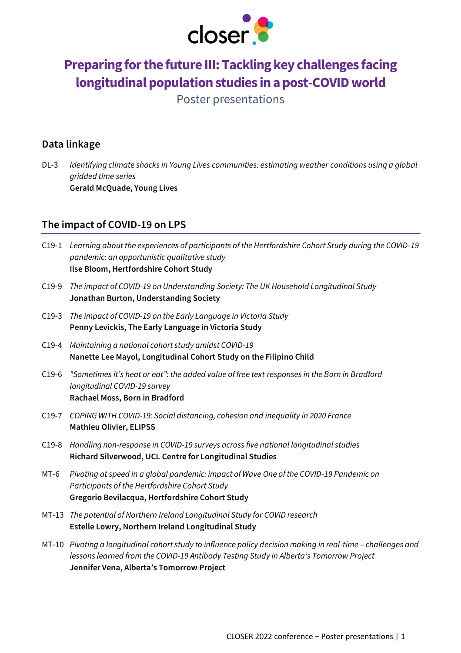

# **Preparing for the future III: Tackling key challenges facing longitudinal population studies in a post-COVID world**

Poster presentations

#### **Data linkage**

DL-3 *Identifying climate shocks in Young Lives communities: estimating weather conditions using a global gridded time series* **Gerald McQuade, Young Lives**

### **The impact of COVID-19 on LPS**

- C19-1 *Learning about the experiences of participants of the Hertfordshire Cohort Study during the COVID-19 pandemic: an opportunistic qualitative study* **Ilse Bloom, Hertfordshire Cohort Study**
- C19-9 *The impact of COVID-19 on Understanding Society: The UK Household Longitudinal Study* **Jonathan Burton, Understanding Society**
- C19-3 *The impact of COVID-19 on the Early Language in Victoria Study* **Penny Levickis, The Early Language in Victoria Study**
- C19-4 *Maintaining a national cohort study amidst COVID-19* **Nanette Lee Mayol, Longitudinal Cohort Study on the Filipino Child**
- C19-6 *"Sometimes it's heat or eat": the added value of free text responses in the Born in Bradford longitudinal COVID-19 survey* **Rachael Moss, Born in Bradford**
- C19-7 *COPING WITH COVID-19: Social distancing, cohesion and inequality in 2020 France* **Mathieu Olivier, ELIPSS**
- C19-8 *Handling non-response in COVID-19 surveys across five national longitudinal studies* **Richard Silverwood, UCL Centre for Longitudinal Studies**
- MT-6 *Pivoting at speed in a global pandemic: impact of Wave One of the COVID-19 Pandemic on Participants of the Hertfordshire Cohort Study* **Gregorio Bevilacqua, Hertfordshire Cohort Study**
- MT-13 *The potential of Northern Ireland Longitudinal Study for COVID research* **Estelle Lowry, Northern Ireland Longitudinal Study**
- MT-10 *Pivoting a longitudinal cohort study to influence policy decision making in real-time challenges and lessons learned from the COVID-19 Antibody Testing Study in Alberta's Tomorrow Project* **Jennifer Vena, Alberta's Tomorrow Project**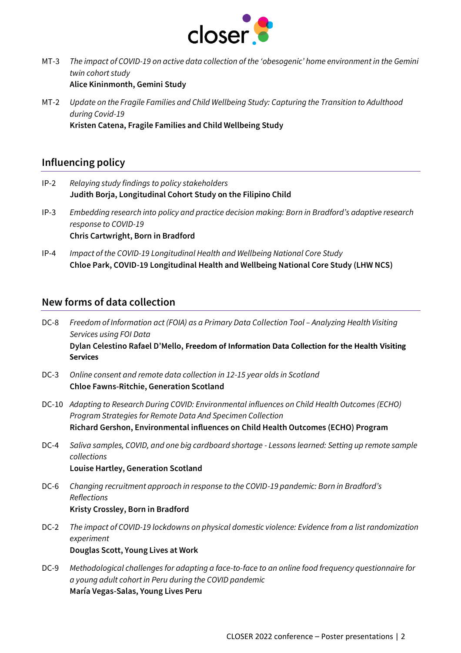

- MT-3 *The impact of COVID-19 on active data collection of the 'obesogenic' home environment in the Gemini twin cohort study* **Alice Kininmonth, Gemini Study**
- MT-2 *Update on the Fragile Families and Child Wellbeing Study: Capturing the Transition to Adulthood during Covid-19* **Kristen Catena, Fragile Families and Child Wellbeing Study**

#### **Influencing policy**

- IP-2 *Relaying study findings to policy stakeholders* **Judith Borja, Longitudinal Cohort Study on the Filipino Child**
- IP-3 *Embedding research into policy and practice decision making: Born in Bradford's adaptive research response to COVID-19* **Chris Cartwright, Born in Bradford**
- IP-4 *Impact of the COVID-19 Longitudinal Health and Wellbeing National Core Study* **Chloe Park, COVID-19 Longitudinal Health and Wellbeing National Core Study (LHW NCS)**

#### **New forms of data collection**

- DC-8 Freedom of Information act (FOIA) as a Primary Data Collection Tool Analyzing Health Visiting *Services using FOI Data* **Dylan Celestino Rafael D'Mello, Freedom of Information Data Collection for the Health Visiting Services**
- DC-3 *Online consent and remote data collection in 12-15 year olds in Scotland* **Chloe Fawns-Ritchie, Generation Scotland**
- DC-10 *Adapting to Research During COVID: Environmental influences on Child Health Outcomes (ECHO) Program Strategies for Remote Data And Specimen Collection* **Richard Gershon, Environmental influences on Child Health Outcomes (ECHO) Program**
- DC-4 *Saliva samples, COVID, and one big cardboard shortage - Lessons learned: Setting up remote sample collections* **Louise Hartley, Generation Scotland**
- DC-6 *Changing recruitment approach in response to the COVID-19 pandemic: Born in Bradford's Reflections* **Kristy Crossley, Born in Bradford**
- DC-2 *The impact of COVID-19 lockdowns on physical domestic violence: Evidence from a list randomization experiment* **Douglas Scott, Young Lives at Work**
- DC-9 *Methodological challenges for adapting a face-to-face to an online food frequency questionnaire for a young adult cohort in Peru during the COVID pandemic* **María Vegas-Salas, Young Lives Peru**